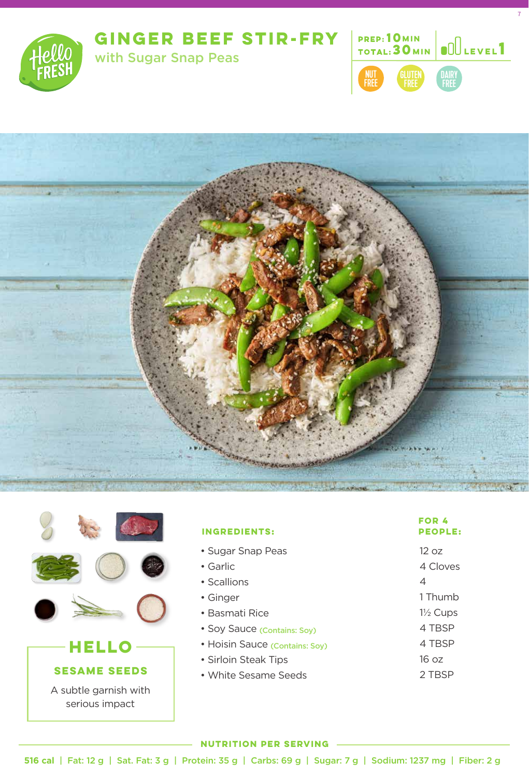





7





| FOR 4<br><b>PEOPLE:</b> |
|-------------------------|
| 12 oz<br>4 Cloves       |
| 4                       |
| 1 Thumb                 |
| $1\frac{1}{2}$ Cups     |
| 4 TBSP                  |
| 4 TBSP                  |
|                         |

## 16 oz

2 TBSP

### **NUTRITION PER SERVING**